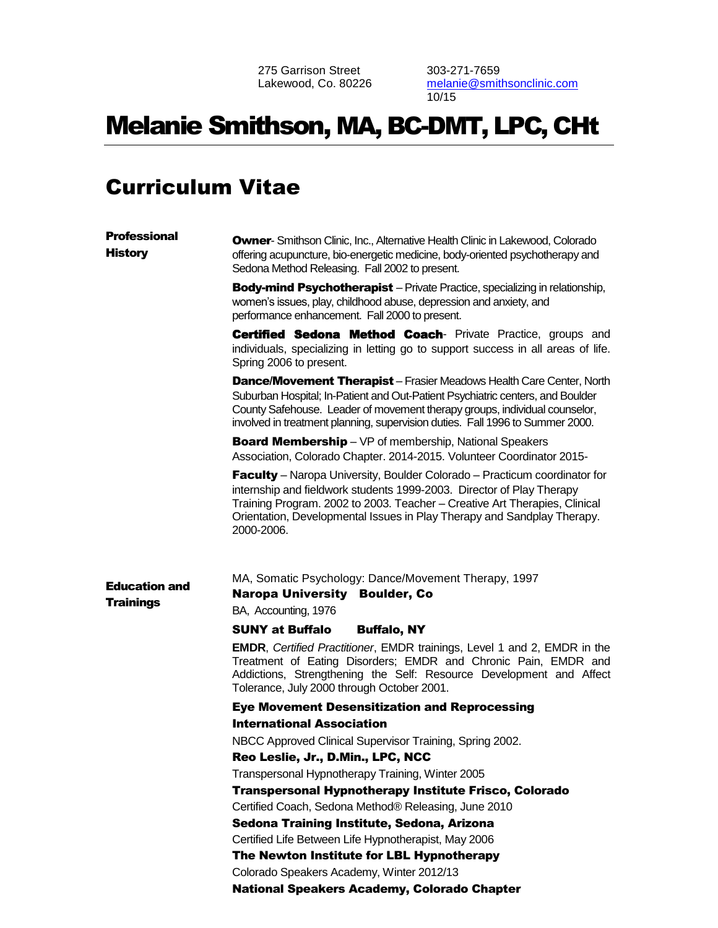275 Garrison Street Lakewood, Co. 80226 303-271-7659 [melanie@smithsonclinic.com](mailto:melanie@smithsonclinic.com) 10/15

# Melanie Smithson, MA, BC-DMT, LPC, CHt

## Curriculum Vitae

| <b>Professional</b><br><b>History</b>    | <b>Owner-</b> Smithson Clinic, Inc., Alternative Health Clinic in Lakewood, Colorado<br>offering acupuncture, bio-energetic medicine, body-oriented psychotherapy and<br>Sedona Method Releasing. Fall 2002 to present.                                                                                                          |
|------------------------------------------|----------------------------------------------------------------------------------------------------------------------------------------------------------------------------------------------------------------------------------------------------------------------------------------------------------------------------------|
|                                          | <b>Body-mind Psychotherapist</b> – Private Practice, specializing in relationship,<br>women's issues, play, childhood abuse, depression and anxiety, and<br>performance enhancement. Fall 2000 to present.                                                                                                                       |
|                                          | <b>Certified Sedona Method Coach-</b> Private Practice, groups and<br>individuals, specializing in letting go to support success in all areas of life.<br>Spring 2006 to present.                                                                                                                                                |
|                                          | <b>Dance/Movement Therapist</b> - Frasier Meadows Health Care Center, North<br>Suburban Hospital; In-Patient and Out-Patient Psychiatric centers, and Boulder<br>County Safehouse. Leader of movement therapy groups, individual counselor,<br>involved in treatment planning, supervision duties. Fall 1996 to Summer 2000.     |
|                                          | <b>Board Membership</b> – VP of membership, National Speakers<br>Association, Colorado Chapter. 2014-2015. Volunteer Coordinator 2015-                                                                                                                                                                                           |
|                                          | <b>Faculty</b> – Naropa University, Boulder Colorado – Practicum coordinator for<br>internship and fieldwork students 1999-2003. Director of Play Therapy<br>Training Program. 2002 to 2003. Teacher - Creative Art Therapies, Clinical<br>Orientation, Developmental Issues in Play Therapy and Sandplay Therapy.<br>2000-2006. |
| <b>Education and</b><br><b>Trainings</b> | MA, Somatic Psychology: Dance/Movement Therapy, 1997<br><b>Naropa University Boulder, Co</b><br>BA, Accounting, 1976                                                                                                                                                                                                             |
|                                          | <b>SUNY at Buffalo</b><br><b>Buffalo, NY</b>                                                                                                                                                                                                                                                                                     |
|                                          | EMDR, Certified Practitioner, EMDR trainings, Level 1 and 2, EMDR in the<br>Treatment of Eating Disorders; EMDR and Chronic Pain, EMDR and<br>Addictions, Strengthening the Self: Resource Development and Affect<br>Tolerance, July 2000 through October 2001.                                                                  |
|                                          | <b>Eye Movement Desensitization and Reprocessing</b>                                                                                                                                                                                                                                                                             |
|                                          | <b>International Association</b>                                                                                                                                                                                                                                                                                                 |
|                                          | NBCC Approved Clinical Supervisor Training, Spring 2002.                                                                                                                                                                                                                                                                         |
|                                          | Reo Leslie, Jr., D.Min., LPC, NCC                                                                                                                                                                                                                                                                                                |
|                                          | Transpersonal Hypnotherapy Training, Winter 2005                                                                                                                                                                                                                                                                                 |
|                                          | Transpersonal Hypnotherapy Institute Frisco, Colorado                                                                                                                                                                                                                                                                            |
|                                          | Certified Coach, Sedona Method® Releasing, June 2010                                                                                                                                                                                                                                                                             |
|                                          | Sedona Training Institute, Sedona, Arizona                                                                                                                                                                                                                                                                                       |
|                                          | Certified Life Between Life Hypnotherapist, May 2006                                                                                                                                                                                                                                                                             |
|                                          | The Newton Institute for LBL Hypnotherapy                                                                                                                                                                                                                                                                                        |
|                                          |                                                                                                                                                                                                                                                                                                                                  |
|                                          | Colorado Speakers Academy, Winter 2012/13                                                                                                                                                                                                                                                                                        |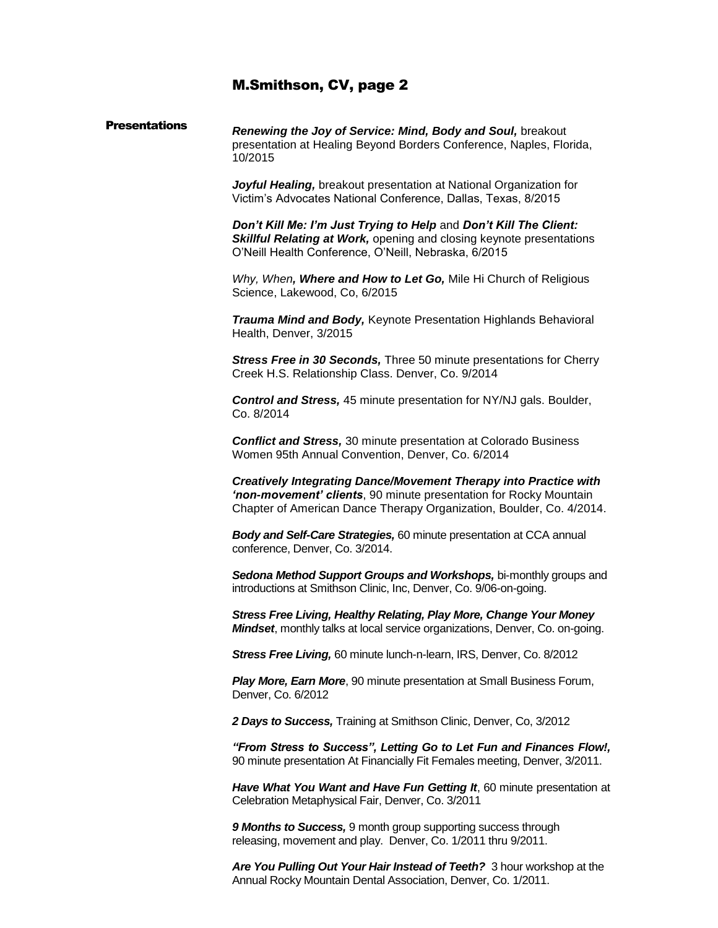#### **Presentations** *Renewing the Joy of Service: Mind, Body and Soul,* breakout presentation at Healing Beyond Borders Conference, Naples, Florida, 10/2015

*Joyful Healing,* breakout presentation at National Organization for Victim's Advocates National Conference, Dallas, Texas, 8/2015

*Don't Kill Me: I'm Just Trying to Help* and *Don't Kill The Client:*  **Skillful Relating at Work, opening and closing keynote presentations** O'Neill Health Conference, O'Neill, Nebraska, 6/2015

*Why, When, Where and How to Let Go,* Mile Hi Church of Religious Science, Lakewood, Co, 6/2015

*Trauma Mind and Body,* Keynote Presentation Highlands Behavioral Health, Denver, 3/2015

*Stress Free in 30 Seconds,* Three 50 minute presentations for Cherry Creek H.S. Relationship Class. Denver, Co. 9/2014

*Control and Stress,* 45 minute presentation for NY/NJ gals. Boulder, Co. 8/2014

*Conflict and Stress,* 30 minute presentation at Colorado Business Women 95th Annual Convention, Denver, Co. 6/2014

*Creatively Integrating Dance/Movement Therapy into Practice with 'non-movement' clients*, 90 minute presentation for Rocky Mountain Chapter of American Dance Therapy Organization, Boulder, Co. 4/2014.

*Body and Self-Care Strategies,* 60 minute presentation at CCA annual conference, Denver, Co. 3/2014.

*Sedona Method Support Groups and Workshops,* bi-monthly groups and introductions at Smithson Clinic, Inc, Denver, Co. 9/06-on-going.

*Stress Free Living, Healthy Relating, Play More, Change Your Money Mindset*, monthly talks at local service organizations, Denver, Co. on-going.

*Stress Free Living,* 60 minute lunch-n-learn, IRS, Denver, Co. 8/2012

*Play More, Earn More*, 90 minute presentation at Small Business Forum, Denver, Co. 6/2012

*2 Days to Success,* Training at Smithson Clinic, Denver, Co, 3/2012

*"From Stress to Success", Letting Go to Let Fun and Finances Flow!,*  90 minute presentation At Financially Fit Females meeting, Denver, 3/2011.

*Have What You Want and Have Fun Getting It*, 60 minute presentation at Celebration Metaphysical Fair, Denver, Co. 3/2011

*9 Months to Success,* 9 month group supporting success through releasing, movement and play. Denver, Co. 1/2011 thru 9/2011.

*Are You Pulling Out Your Hair Instead of Teeth?* 3 hour workshop at the Annual Rocky Mountain Dental Association, Denver, Co. 1/2011.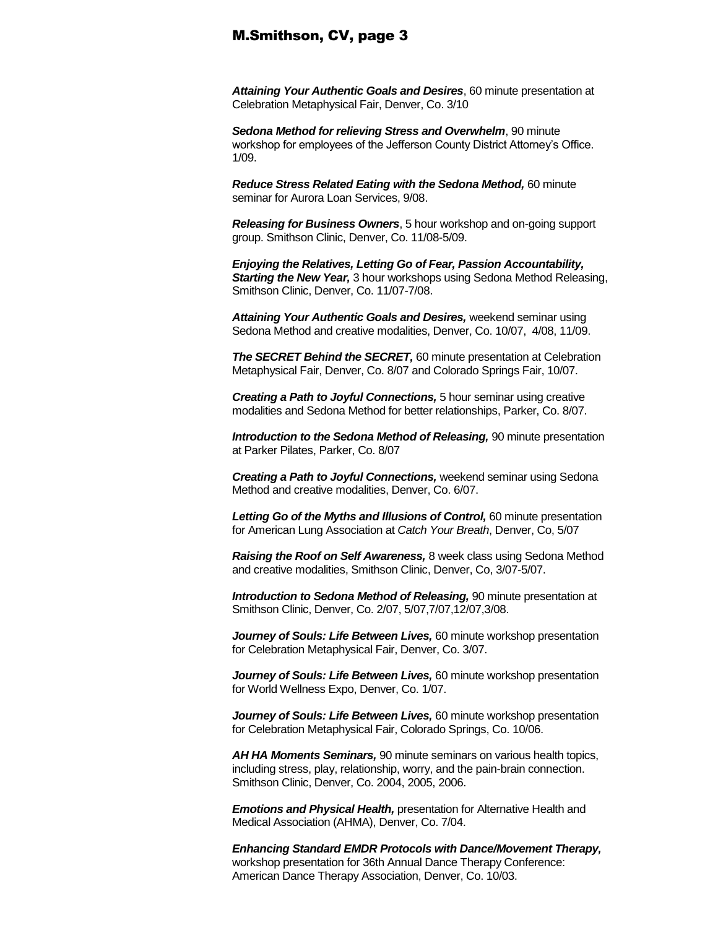*Attaining Your Authentic Goals and Desires*, 60 minute presentation at Celebration Metaphysical Fair, Denver, Co. 3/10

*Sedona Method for relieving Stress and Overwhelm*, 90 minute workshop for employees of the Jefferson County District Attorney's Office. 1/09.

*Reduce Stress Related Eating with the Sedona Method,* 60 minute seminar for Aurora Loan Services, 9/08.

*Releasing for Business Owners*, 5 hour workshop and on-going support group. Smithson Clinic, Denver, Co. 11/08-5/09.

*Enjoying the Relatives, Letting Go of Fear, Passion Accountability, Starting the New Year,* 3 hour workshops using Sedona Method Releasing, Smithson Clinic, Denver, Co. 11/07-7/08.

*Attaining Your Authentic Goals and Desires,* weekend seminar using Sedona Method and creative modalities, Denver, Co. 10/07, 4/08, 11/09.

*The SECRET Behind the SECRET,* 60 minute presentation at Celebration Metaphysical Fair, Denver, Co. 8/07 and Colorado Springs Fair, 10/07.

*Creating a Path to Joyful Connections,* 5 hour seminar using creative modalities and Sedona Method for better relationships, Parker, Co. 8/07.

**Introduction to the Sedona Method of Releasing, 90 minute presentation** at Parker Pilates, Parker, Co. 8/07

*Creating a Path to Joyful Connections,* weekend seminar using Sedona Method and creative modalities, Denver, Co. 6/07.

Letting Go of the Myths and Illusions of Control, 60 minute presentation for American Lung Association at *Catch Your Breath*, Denver, Co, 5/07

*Raising the Roof on Self Awareness,* 8 week class using Sedona Method and creative modalities, Smithson Clinic, Denver, Co, 3/07-5/07.

*Introduction to Sedona Method of Releasing,* 90 minute presentation at Smithson Clinic, Denver, Co. 2/07, 5/07,7/07,12/07,3/08.

*Journey of Souls: Life Between Lives,* 60 minute workshop presentation for Celebration Metaphysical Fair, Denver, Co. 3/07.

*Journey of Souls: Life Between Lives,* 60 minute workshop presentation for World Wellness Expo, Denver, Co. 1/07.

*Journey of Souls: Life Between Lives,* 60 minute workshop presentation for Celebration Metaphysical Fair, Colorado Springs, Co. 10/06.

*AH HA Moments Seminars,* 90 minute seminars on various health topics, including stress, play, relationship, worry, and the pain-brain connection. Smithson Clinic, Denver, Co. 2004, 2005, 2006.

*Emotions and Physical Health,* presentation for Alternative Health and Medical Association (AHMA), Denver, Co. 7/04.

*Enhancing Standard EMDR Protocols with Dance/Movement Therapy,*  workshop presentation for 36th Annual Dance Therapy Conference: American Dance Therapy Association, Denver, Co. 10/03.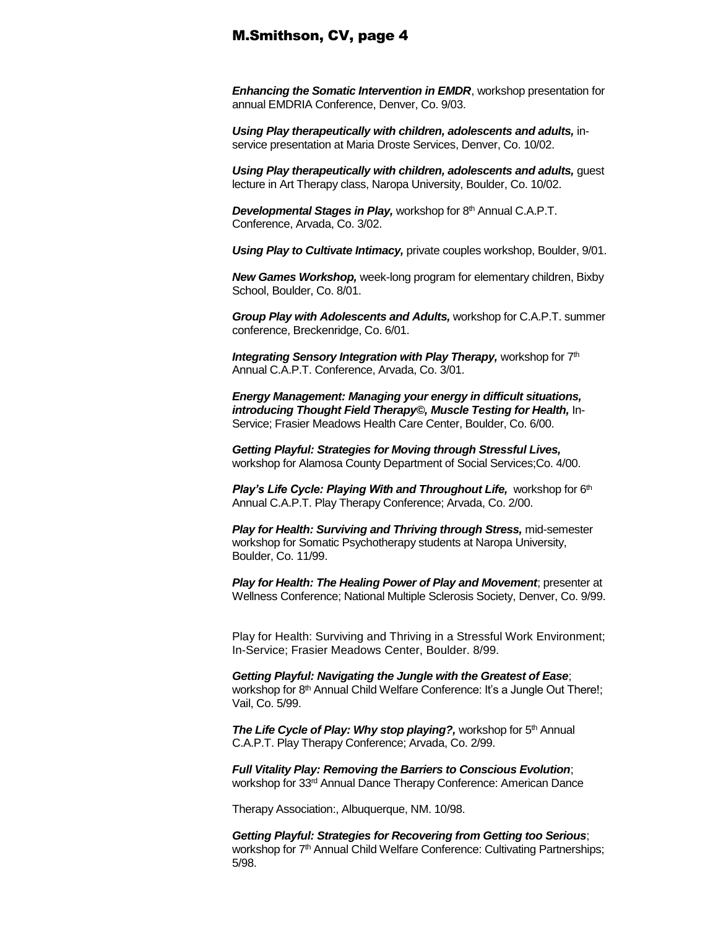*Enhancing the Somatic Intervention in EMDR*, workshop presentation for annual EMDRIA Conference, Denver, Co. 9/03.

*Using Play therapeutically with children, adolescents and adults,* inservice presentation at Maria Droste Services, Denver, Co. 10/02.

*Using Play therapeutically with children, adolescents and adults, guest* lecture in Art Therapy class, Naropa University, Boulder, Co. 10/02.

*Developmental Stages in Play, workshop for 8<sup>th</sup> Annual C.A.P.T.* Conference, Arvada, Co. 3/02.

*Using Play to Cultivate Intimacy,* private couples workshop, Boulder, 9/01.

*New Games Workshop,* week-long program for elementary children, Bixby School, Boulder, Co. 8/01.

*Group Play with Adolescents and Adults,* workshop for C.A.P.T. summer conference, Breckenridge, Co. 6/01.

**Integrating Sensory Integration with Play Therapy, workshop for 7th** Annual C.A.P.T. Conference, Arvada, Co. 3/01.

*Energy Management: Managing your energy in difficult situations, introducing Thought Field Therapy©, Muscle Testing for Health,* In-Service; Frasier Meadows Health Care Center, Boulder, Co. 6/00.

*Getting Playful: Strategies for Moving through Stressful Lives,*  workshop for Alamosa County Department of Social Services;Co. 4/00.

**Play's Life Cycle: Playing With and Throughout Life, workshop for 6th** Annual C.A.P.T. Play Therapy Conference; Arvada, Co. 2/00.

*Play for Health: Surviving and Thriving through Stress, mid-semester* workshop for Somatic Psychotherapy students at Naropa University, Boulder, Co. 11/99.

*Play for Health: The Healing Power of Play and Movement*; presenter at Wellness Conference; National Multiple Sclerosis Society, Denver, Co. 9/99.

Play for Health: Surviving and Thriving in a Stressful Work Environment; In-Service; Frasier Meadows Center, Boulder. 8/99.

*Getting Playful: Navigating the Jungle with the Greatest of Ease*; workshop for 8<sup>th</sup> Annual Child Welfare Conference: It's a Jungle Out There!; Vail, Co. 5/99.

*The Life Cycle of Play: Why stop playing?, workshop for 5<sup>th</sup> Annual* C.A.P.T. Play Therapy Conference; Arvada, Co. 2/99.

*Full Vitality Play: Removing the Barriers to Conscious Evolution*; workshop for 33rd Annual Dance Therapy Conference: American Dance

Therapy Association:, Albuquerque, NM. 10/98.

*Getting Playful: Strategies for Recovering from Getting too Serious*; workshop for 7<sup>th</sup> Annual Child Welfare Conference: Cultivating Partnerships; 5/98.